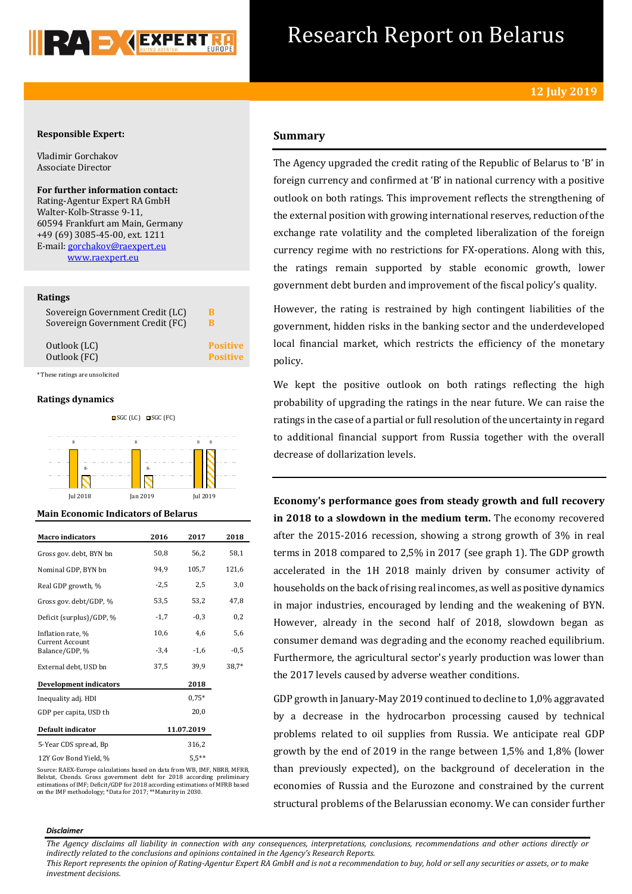

## Research Report on Belarus

## **Responsible Expert:**

Vladimir Gorchakov Associate Director

**For further information contact:** Rating-Agentur Expert RA GmbH Walter-Kolb-Strasse 9-11, 60594 Frankfurt am Main, Germany +49 (69) 3085-45-00, ext. 1211 E-mail: [gorchakov@raexpert.eu](mailto:gorchakov@raexpert.eu) [www.raexpert.eu](http://raexpert.eu/)

## **Ratings**

| Sovereign Government Credit (LC) | в               |
|----------------------------------|-----------------|
| Sovereign Government Credit (FC) | в               |
| Outlook (LC)                     | <b>Positive</b> |
| Outlook (FC)                     | <b>Positive</b> |

\* These ratings are unsolicited

## **Ratings dynamics**





#### **Main Economic Indicators of Belarus**

| <b>Macro</b> indicators                  | 2016   | 2017       | 2018   |
|------------------------------------------|--------|------------|--------|
| Gross gov. debt, BYN bn                  | 50,8   | 56,2       | 58,1   |
| Nominal GDP, BYN bn                      | 94,9   | 105,7      | 121,6  |
| Real GDP growth, %                       | $-2,5$ | 2,5        | 3,0    |
| Gross gov. debt/GDP, %                   | 53,5   | 53,2       | 47,8   |
| Deficit (surplus)/GDP, %                 | $-1,7$ | $-0,3$     | 0,2    |
| Inflation rate, %                        | 10,6   | 4,6        | 5,6    |
| <b>Current Account</b><br>Balance/GDP, % | $-3,4$ | $-1,6$     | $-0,5$ |
| External debt, USD bn                    | 37,5   | 39,9       | 38,7*  |
| Development indicators                   |        | 2018       |        |
| Inequality adj. HDI                      |        | $0.75*$    |        |
| GDP per capita, USD th                   |        | 20,0       |        |
| Default indicator                        |        | 11.07.2019 |        |
| 5-Year CDS spread, Bp                    |        | 316,2      |        |
| 12Y Gov Bond Yield, %                    |        | $5.5***$   |        |

Source: RAEX-Europe calculations based on data from WB, IMF, NBRB, MFRB, Belstat, Cbonds. Gross government debt for 2018 according preliminary estimations of IMF; Deficit/GDP for 2018 according estimations of MFRB based on the IMF methodology; \*Data for 2017; \*\*Maturity in 2030.

## **Summary**

The Agency upgraded the credit rating of the Republic of Belarus to 'В' in foreign currency and confirmed at 'В' in national currency with a positive outlook on both ratings. This improvement reflects the strengthening of the external position with growing international reserves, reduction of the exchange rate volatility and the completed liberalization of the foreign currency regime with no restrictions for FX-operations. Along with this, the ratings remain supported by stable economic growth, lower government debt burden and improvement of the fiscal policy's quality.

However, the rating is restrained by high contingent liabilities of the government, hidden risks in the banking sector and the underdeveloped local financial market, which restricts the efficiency of the monetary policy.

We kept the positive outlook on both ratings reflecting the high probability of upgrading the ratings in the near future. We can raise the ratings in the case of a partial or full resolution of the uncertainty in regard to additional financial support from Russia together with the overall decrease of dollarization levels.

**Economy's performance goes from steady growth and full recovery in 2018 to a slowdown in the medium term.** The economy recovered after the 2015-2016 recession, showing a strong growth of 3% in real terms in 2018 compared to 2,5% in 2017 (see graph 1). The GDP growth accelerated in the 1H 2018 mainly driven by consumer activity of households on the back of rising real incomes, as well as positive dynamics in major industries, encouraged by lending and the weakening of BYN. However, already in the second half of 2018, slowdown began as consumer demand was degrading and the economy reached equilibrium. Furthermore, the agricultural sector's yearly production was lower than the 2017 levels caused by adverse weather conditions.

GDP growth in January-May 2019 continued to decline to 1,0% aggravated by a decrease in the hydrocarbon processing caused by technical problems related to oil supplies from Russia. We anticipate real GDP growth by the end of 2019 in the range between 1,5% and 1,8% (lower than previously expected), on the background of deceleration in the economies of Russia and the Eurozone and constrained by the current structural problems of the Belarussian economy. We can consider further

#### *Disclaimer*

*The Agency disclaims all liability in connection with any consequences, interpretations, conclusions, recommendations and other actions directly or indirectly related to the conclusions and opinions contained in the Agency's Research Reports.*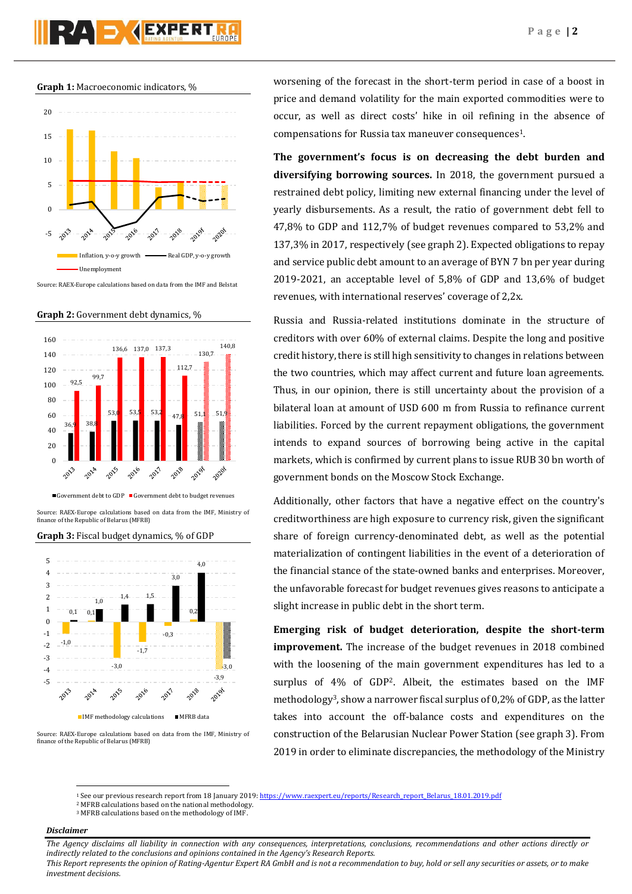# RAD JAEXPERT

### **Graph 1:** Macroeconomic indicators, %



Source: RAEX-Europe calculations based on data from the IMF and Belstat

**Graph 2:** Government debt dynamics, %



Source: RAEX-Europe calculations based on data from the IMF, Ministry of finance of the Republic of Belarus (MFRB)



Source: RAEX-Europe calculations based on data from the IMF, Ministry of finance of the Republic of Belarus (MFRB)

worsening of the forecast in the short-term period in case of a boost in price and demand volatility for the main exported commodities were to occur, as well as direct costs' hike in oil refining in the absence of compensations for Russia tax maneuver consequences<sup>1</sup>.

**The government's focus is on decreasing the debt burden and diversifying borrowing sources.** In 2018, the government pursued a restrained debt policy, limiting new external financing under the level of yearly disbursements. As a result, the ratio of government debt fell to 47,8% to GDP and 112,7% of budget revenues compared to 53,2% and 137,3% in 2017, respectively (see graph 2). Expected obligations to repay and service public debt amount to an average of BYN 7 bn per year during 2019-2021, an acceptable level of 5,8% of GDP and 13,6% of budget revenues, with international reserves' coverage of 2,2x.

Russia and Russia-related institutions dominate in the structure of creditors with over 60% of external claims. Despite the long and positive credit history, there is still high sensitivity to changes in relations between the two countries, which may affect current and future loan agreements. Thus, in our opinion, there is still uncertainty about the provision of a bilateral loan at amount of USD 600 m from Russia to refinance current liabilities. Forced by the current repayment obligations, the government intends to expand sources of borrowing being active in the capital markets, which is confirmed by current plans to issue RUB 30 bn worth of government bonds on the Moscow Stock Exchange.

Additionally, other factors that have a negative effect on the country's creditworthiness are high exposure to currency risk, given the significant share of foreign currency-denominated debt, as well as the potential materialization of contingent liabilities in the event of a deterioration of the financial stance of the state-owned banks and enterprises. Moreover, the unfavorable forecast for budget revenues gives reasons to anticipate a slight increase in public debt in the short term.

**Emerging risk of budget deterioration, despite the short-term improvement.** The increase of the budget revenues in 2018 combined with the loosening of the main government expenditures has led to a surplus of 4% of GDP2. Albeit, the estimates based on the IMF methodology3, show a narrower fiscal surplus of 0,2% of GDP, as the latter takes into account the off-balance costs and expenditures on the construction of the Belarusian Nuclear Power Station (see graph 3). From 2019 in order to eliminate discrepancies, the methodology of the Ministry

## *Disclaimer*

**.** 

*The Agency disclaims all liability in connection with any consequences, interpretations, conclusions, recommendations and other actions directly or indirectly related to the conclusions and opinions contained in the Agency's Research Reports.*

<sup>&</sup>lt;sup>1</sup> See our previous research report from 18 January 2019[: https://www.raexpert.eu/reports/Research\\_report\\_Belarus\\_18.01.2019.pdf](https://www.raexpert.eu/reports/Research_report_Belarus_18.01.2019.pdf)

<sup>2</sup> MFRB calculations based on the national methodology. <sup>3</sup> MFRB calculations based on the methodology of IMF.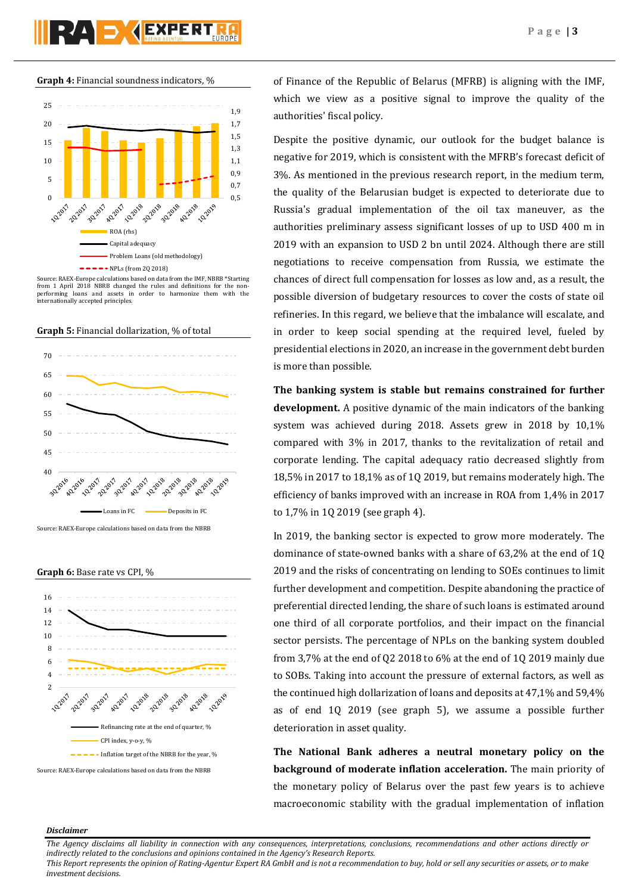

**Graph 4:** Financial soundness indicators, %



Source: RAEX-Europe calculations based on data from the IMF, NBRB \*Starting from 1 April 2018 NBRB changed the rules and definitions for the nonperforming loans and assets in order to harmonize them with the internationally accepted principles.





Source: RAEX-Europe calculations based on data from the NBRB

**Graph 6:** Base rate vs CPI, %



of Finance of the Republic of Belarus (MFRB) is aligning with the IMF, which we view as a positive signal to improve the quality of the authorities' fiscal policy.

Despite the positive dynamic, our outlook for the budget balance is negative for 2019, which is consistent with the MFRB's forecast deficit of 3%. As mentioned in the previous research report, in the medium term, the quality of the Belarusian budget is expected to deteriorate due to Russia's gradual implementation of the oil tax maneuver, as the authorities preliminary assess significant losses of up to USD 400 m in 2019 with an expansion to USD 2 bn until 2024. Although there are still negotiations to receive compensation from Russia, we estimate the chances of direct full compensation for losses as low and, as a result, the possible diversion of budgetary resources to cover the costs of state oil refineries. In this regard, we believe that the imbalance will escalate, and in order to keep social spending at the required level, fueled by presidential elections in 2020, an increase in the government debt burden is more than possible.

**The banking system is stable but remains constrained for further development.** A positive dynamic of the main indicators of the banking system was achieved during 2018. Assets grew in 2018 by 10,1% compared with 3% in 2017, thanks to the revitalization of retail and corporate lending. The capital adequacy ratio decreased slightly from 18,5% in 2017 to 18,1% as of 1Q 2019, but remains moderately high. The efficiency of banks improved with an increase in ROA from 1,4% in 2017 to 1,7% in 1Q 2019 (see graph 4).

In 2019, the banking sector is expected to grow more moderately. The dominance of state-owned banks with a share of 63,2% at the end of 1Q 2019 and the risks of concentrating on lending to SOEs continues to limit further development and competition. Despite abandoning the practice of preferential directed lending, the share of such loans is estimated around one third of all corporate portfolios, and their impact on the financial sector persists. The percentage of NPLs on the banking system doubled from 3,7% at the end of Q2 2018 to 6% at the end of 1Q 2019 mainly due to SOBs. Taking into account the pressure of external factors, as well as the continued high dollarization of loans and deposits at 47,1% and 59,4% as of end 1Q 2019 (see graph 5), we assume a possible further deterioration in asset quality.

**The National Bank adheres a neutral monetary policy on the background of moderate inflation acceleration.** The main priority of the monetary policy of Belarus over the past few years is to achieve macroeconomic stability with the gradual implementation of inflation

#### *Disclaimer*

*The Agency disclaims all liability in connection with any consequences, interpretations, conclusions, recommendations and other actions directly or indirectly related to the conclusions and opinions contained in the Agency's Research Reports.*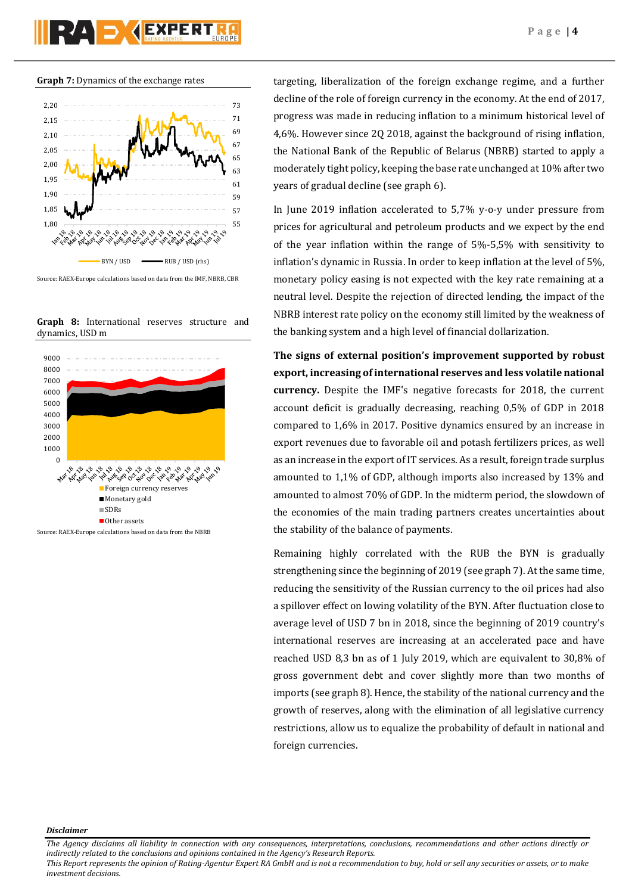



Source: RAEX-Europe calculations based on data from the IMF, NBRB, CBR

**Graph 8:** International reserves structure and dynamics, USD m



Source: RAEX-Europe calculations based on data from the NBRB

targeting, liberalization of the foreign exchange regime, and a further decline of the role of foreign currency in the economy. At the end of 2017, progress was made in reducing inflation to a minimum historical level of 4,6%. However since 2Q 2018, against the background of rising inflation, the National Bank of the Republic of Belarus (NBRB) started to apply a moderately tight policy, keeping the base rate unchanged at 10% after two years of gradual decline (see graph 6).

In June 2019 inflation accelerated to 5,7% y-o-y under pressure from prices for agricultural and petroleum products and we expect by the end of the year inflation within the range of 5%-5,5% with sensitivity to inflation's dynamic in Russia. In order to keep inflation at the level of 5%, monetary policy easing is not expected with the key rate remaining at a neutral level. Despite the rejection of directed lending, the impact of the NBRB interest rate policy on the economy still limited by the weakness of the banking system and a high level of financial dollarization.

**The signs of external position's improvement supported by robust export, increasing of international reserves and less volatile national currency.** Despite the IMF's negative forecasts for 2018, the current account deficit is gradually decreasing, reaching 0,5% of GDP in 2018 compared to 1,6% in 2017. Positive dynamics ensured by an increase in export revenues due to favorable oil and potash fertilizers prices, as well as an increase in the export of IT services. As a result, foreign trade surplus amounted to 1,1% of GDP, although imports also increased by 13% and amounted to almost 70% of GDP. In the midterm period, the slowdown of the economies of the main trading partners creates uncertainties about the stability of the balance of payments.

Remaining highly correlated with the RUB the BYN is gradually strengthening since the beginning of 2019 (see graph 7). At the same time, reducing the sensitivity of the Russian currency to the oil prices had also a spillover effect on lowing volatility of the BYN. After fluctuation close to average level of USD 7 bn in 2018, since the beginning of 2019 country's international reserves are increasing at an accelerated pace and have reached USD 8,3 bn as of 1 July 2019, which are equivalent to 30,8% of gross government debt and cover slightly more than two months of imports (see graph 8). Hence, the stability of the national currency and the growth of reserves, along with the elimination of all legislative currency restrictions, allow us to equalize the probability of default in national and foreign currencies.

*Disclaimer* 

*The Agency disclaims all liability in connection with any consequences, interpretations, conclusions, recommendations and other actions directly or indirectly related to the conclusions and opinions contained in the Agency's Research Reports.*